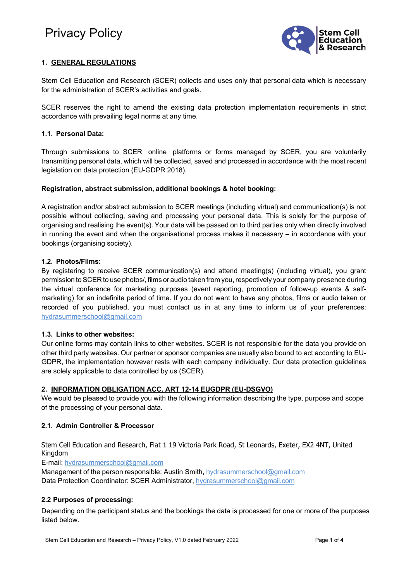# Privacy Policy



## **1. GENERAL REGULATIONS**

Stem Cell Education and Research (SCER) collects and uses only that personal data which is necessary for the administration of SCER's activities and goals.

SCER reserves the right to amend the existing data protection implementation requirements in strict accordance with prevailing legal norms at any time.

## **1.1. Personal Data:**

Through submissions to SCER online platforms or forms managed by SCER, you are voluntarily transmitting personal data, which will be collected, saved and processed in accordance with the most recent legislation on data protection (EU-GDPR 2018).

## **Registration, abstract submission, additional bookings & hotel booking:**

A registration and/or abstract submission to SCER meetings (including virtual) and communication(s) is not possible without collecting, saving and processing your personal data. This is solely for the purpose of organising and realising the event(s). Your data will be passed on to third parties only when directly involved in running the event and when the organisational process makes it necessary – in accordance with your bookings (organising society).

## **1.2. Photos/Films:**

By registering to receive SCER communication(s) and attend meeting(s) (including virtual), you grant permission toSCER to use photos/, films or audio taken from you,respectively your company presence during the virtual conference for marketing purposes (event reporting, promotion of follow-up events & selfmarketing) for an indefinite period of time. If you do not want to have any photos, films or audio taken or recorded of you published, you must contact us in at any time to inform us of your preferences: [hydrasummerschool@gmail.com](mailto:hydrasummerschool@gmail.com)

## **1.3. Links to other websites:**

Our online forms may contain links to other websites. SCER is not responsible for the data you provide on other third party websites. Our partner or sponsor companies are usually also bound to act according to EU-GDPR, the implementation however rests with each company individually. Our data protection guidelines are solely applicable to data controlled by us (SCER).

## **2. INFORMATION OBLIGATION ACC. ART 12-14 EUGDPR (EU-DSGVO)**

We would be pleased to provide you with the following information describing the type, purpose and scope of the processing of your personal data.

## **2.1. Admin Controller & Processor**

Stem Cell Education and Research, Flat 1 19 Victoria Park Road, St Leonards, Exeter, EX2 4NT, United Kingdom

E-mail: hydrasummerschool@gmail.com

Management of the person responsible: Austin Smith, hydrasummerschool@gmail.com Data Protection Coordinator: SCER Administrator, [hydrasummerschool@gmail.com](mailto:hydrasummerschool@gmail.com)

## **2.2 Purposes of processing:**

Depending on the participant status and the bookings the data is processed for one or more of the purposes listed below.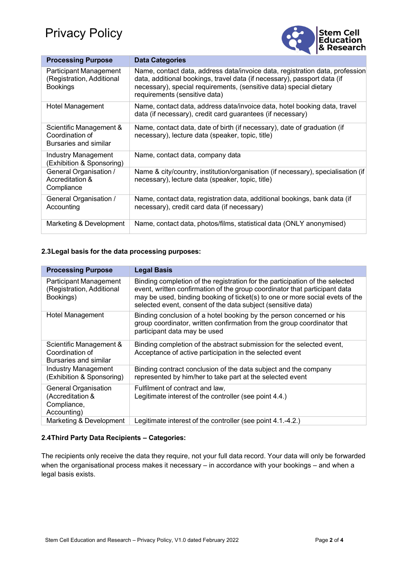

| <b>Processing Purpose</b>                                              | <b>Data Categories</b>                                                                                                                                                                                                                                          |
|------------------------------------------------------------------------|-----------------------------------------------------------------------------------------------------------------------------------------------------------------------------------------------------------------------------------------------------------------|
| Participant Management<br>(Registration, Additional<br><b>Bookings</b> | Name, contact data, address data/invoice data, registration data, profession<br>data, additional bookings, travel data (if necessary), passport data (if<br>necessary), special requirements, (sensitive data) special dietary<br>requirements (sensitive data) |
| Hotel Management                                                       | Name, contact data, address data/invoice data, hotel booking data, travel<br>data (if necessary), credit card guarantees (if necessary)                                                                                                                         |
| Scientific Management &<br>Coordination of<br>Bursaries and similar    | Name, contact data, date of birth (if necessary), date of graduation (if<br>necessary), lecture data (speaker, topic, title)                                                                                                                                    |
| <b>Industry Management</b><br>(Exhibition & Sponsoring)                | Name, contact data, company data                                                                                                                                                                                                                                |
| General Organisation /<br>Accreditation &<br>Compliance                | Name & city/country, institution/organisation (if necessary), specialisation (if<br>necessary), lecture data (speaker, topic, title)                                                                                                                            |
| General Organisation /<br>Accounting                                   | Name, contact data, registration data, additional bookings, bank data (if<br>necessary), credit card data (if necessary)                                                                                                                                        |
| Marketing & Development                                                | Name, contact data, photos/films, statistical data (ONLY anonymised)                                                                                                                                                                                            |

## **2.3Legal basis for the data processing purposes:**

| <b>Processing Purpose</b>                                                     | <b>Legal Basis</b>                                                                                                                                                                                                                                                                                         |
|-------------------------------------------------------------------------------|------------------------------------------------------------------------------------------------------------------------------------------------------------------------------------------------------------------------------------------------------------------------------------------------------------|
| Participant Management<br>(Registration, Additional<br>Bookings)              | Binding completion of the registration for the participation of the selected<br>event, written confirmation of the group coordinator that participant data<br>may be used, binding booking of ticket(s) to one or more social evets of the<br>selected event, consent of the data subject (sensitive data) |
| <b>Hotel Management</b>                                                       | Binding conclusion of a hotel booking by the person concerned or his<br>group coordinator, written confirmation from the group coordinator that<br>participant data may be used                                                                                                                            |
| Scientific Management &<br>Coordination of<br>Bursaries and similar           | Binding completion of the abstract submission for the selected event,<br>Acceptance of active participation in the selected event                                                                                                                                                                          |
| <b>Industry Management</b><br>(Exhibition & Sponsoring)                       | Binding contract conclusion of the data subject and the company<br>represented by him/her to take part at the selected event                                                                                                                                                                               |
| <b>General Organisation</b><br>(Accreditation &<br>Compliance,<br>Accounting) | Fulfilment of contract and law,<br>Legitimate interest of the controller (see point 4.4.)                                                                                                                                                                                                                  |
| Marketing & Development                                                       | Legitimate interest of the controller (see point 4.1.-4.2.)                                                                                                                                                                                                                                                |

## **2.4Third Party Data Recipients – Categories:**

The recipients only receive the data they require, not your full data record. Your data will only be forwarded when the organisational process makes it necessary – in accordance with your bookings – and when a legal basis exists.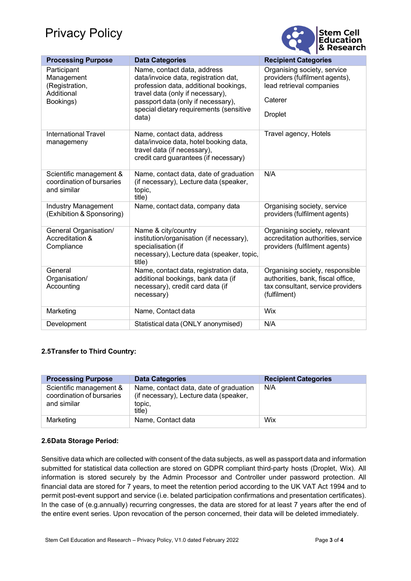# Privacy Policy



| <b>Processing Purpose</b>                                              | <b>Data Categories</b>                                                                                                                                                                                                                     | <b>Recipient Categories</b>                                                                                               |
|------------------------------------------------------------------------|--------------------------------------------------------------------------------------------------------------------------------------------------------------------------------------------------------------------------------------------|---------------------------------------------------------------------------------------------------------------------------|
| Participant<br>Management<br>(Registration,<br>Additional<br>Bookings) | Name, contact data, address<br>data/invoice data, registration dat,<br>profession data, additional bookings,<br>travel data (only if necessary),<br>passport data (only if necessary),<br>special dietary requirements (sensitive<br>data) | Organising society, service<br>providers (fulfilment agents),<br>lead retrieval companies<br>Caterer<br><b>Droplet</b>    |
| <b>International Travel</b><br>managemeny                              | Name, contact data, address<br>data/invoice data, hotel booking data,<br>travel data (if necessary),<br>credit card guarantees (if necessary)                                                                                              | Travel agency, Hotels                                                                                                     |
| Scientific management &<br>coordination of bursaries<br>and similar    | Name, contact data, date of graduation<br>(if necessary), Lecture data (speaker,<br>topic,<br>title)                                                                                                                                       | N/A                                                                                                                       |
| <b>Industry Management</b><br>(Exhibition & Sponsoring)                | Name, contact data, company data                                                                                                                                                                                                           | Organising society, service<br>providers (fulfilment agents)                                                              |
| General Organisation/<br>Accreditation &<br>Compliance                 | Name & city/country<br>institution/organisation (if necessary),<br>specialisation (if<br>necessary), Lecture data (speaker, topic,<br>title)                                                                                               | Organising society, relevant<br>accreditation authorities, service<br>providers (fulfilment agents)                       |
| General<br>Organisation/<br>Accounting                                 | Name, contact data, registration data,<br>additional bookings, bank data (if<br>necessary), credit card data (if<br>necessary)                                                                                                             | Organising society, responsible<br>authorities, bank, fiscal office,<br>tax consultant, service providers<br>(fulfilment) |
| Marketing                                                              | Name, Contact data                                                                                                                                                                                                                         | Wix                                                                                                                       |
| Development                                                            | Statistical data (ONLY anonymised)                                                                                                                                                                                                         | N/A                                                                                                                       |

## **2.5Transfer to Third Country:**

| <b>Processing Purpose</b>                                           | <b>Data Categories</b>                                                                               | <b>Recipient Categories</b> |
|---------------------------------------------------------------------|------------------------------------------------------------------------------------------------------|-----------------------------|
| Scientific management &<br>coordination of bursaries<br>and similar | Name, contact data, date of graduation<br>(if necessary), Lecture data (speaker,<br>topic,<br>title) | N/A                         |
| Marketing                                                           | Name, Contact data                                                                                   | Wix                         |

## **2.6Data Storage Period:**

Sensitive data which are collected with consent of the data subjects, as well as passport data and information submitted for statistical data collection are stored on GDPR compliant third-party hosts (Droplet, Wix). All information is stored securely by the Admin Processor and Controller under password protection. All financial data are stored for 7 years, to meet the retention period according to the UK VAT Act 1994 and to permit post-event support and service (i.e. belated participation confirmations and presentation certificates). In the case of (e.g.annually) recurring congresses, the data are stored for at least 7 years after the end of the entire event series. Upon revocation of the person concerned, their data will be deleted immediately.